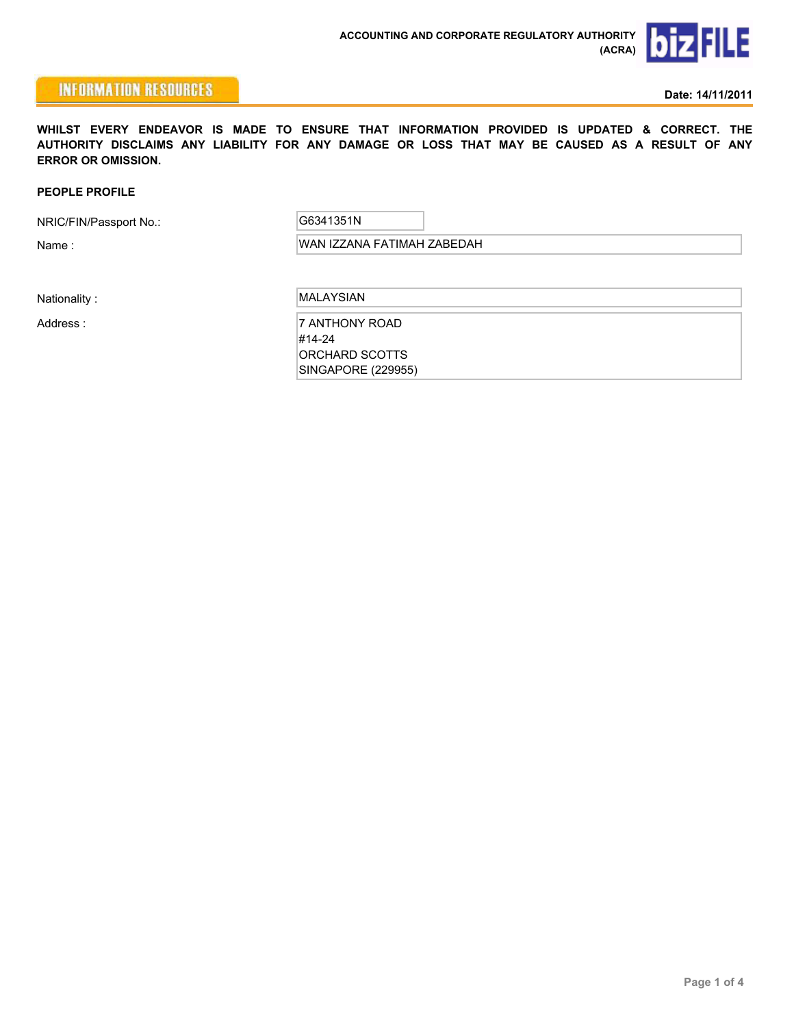

## **INFORMATION RESOURCES**

**Date: 14/11/2011**

**WHILST EVERY ENDEAVOR IS MADE TO ENSURE THAT INFORMATION PROVIDED IS UPDATED & CORRECT. THE AUTHORITY DISCLAIMS ANY LIABILITY FOR ANY DAMAGE OR LOSS THAT MAY BE CAUSED AS A RESULT OF ANY ERROR OR OMISSION.**

### **PEOPLE PROFILE**

NRIC/FIN/Passport No.:

G6341351N

Name : WAN IZZANA FATIMAH ZABEDAH

Nationality : MALAYSIAN

Address : 7 ANTHONY ROAD #14-24 ORCHARD SCOTTS SINGAPORE (229955)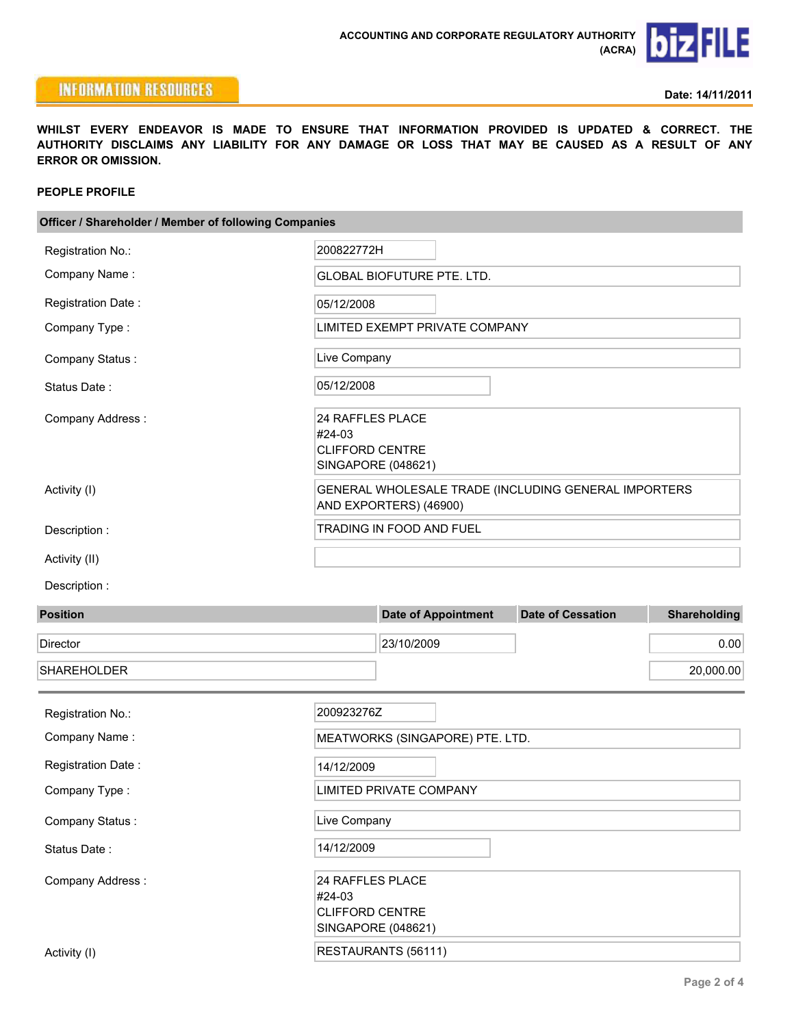### File b

## **INFORMATION RESOURCES**

**WHILST EVERY ENDEAVOR IS MADE TO ENSURE THAT INFORMATION PROVIDED IS UPDATED & CORRECT. THE AUTHORITY DISCLAIMS ANY LIABILITY FOR ANY DAMAGE OR LOSS THAT MAY BE CAUSED AS A RESULT OF ANY ERROR OR OMISSION.**

### **PEOPLE PROFILE**

| Officer / Shareholder / Member of following Companies |            |                                                                                |                          |                     |  |  |
|-------------------------------------------------------|------------|--------------------------------------------------------------------------------|--------------------------|---------------------|--|--|
| Registration No.:                                     | 200822772H |                                                                                |                          |                     |  |  |
| Company Name:                                         |            | <b>GLOBAL BIOFUTURE PTE. LTD.</b>                                              |                          |                     |  |  |
| Registration Date:                                    |            | 05/12/2008                                                                     |                          |                     |  |  |
| Company Type:                                         |            | LIMITED EXEMPT PRIVATE COMPANY                                                 |                          |                     |  |  |
| Company Status:                                       |            | Live Company                                                                   |                          |                     |  |  |
| Status Date:                                          |            | 05/12/2008                                                                     |                          |                     |  |  |
| Company Address:                                      | #24-03     | 24 RAFFLES PLACE<br><b>CLIFFORD CENTRE</b><br>SINGAPORE (048621)               |                          |                     |  |  |
| Activity (I)                                          |            | GENERAL WHOLESALE TRADE (INCLUDING GENERAL IMPORTERS<br>AND EXPORTERS) (46900) |                          |                     |  |  |
| Description:                                          |            | TRADING IN FOOD AND FUEL                                                       |                          |                     |  |  |
| Activity (II)                                         |            |                                                                                |                          |                     |  |  |
| Description:                                          |            |                                                                                |                          |                     |  |  |
| <b>Position</b>                                       |            | <b>Date of Appointment</b>                                                     | <b>Date of Cessation</b> | <b>Shareholding</b> |  |  |
| Director                                              |            | 23/10/2009                                                                     |                          | 0.00                |  |  |
| <b>SHAREHOLDER</b>                                    |            |                                                                                |                          | 20,000.00           |  |  |
| Registration No.:                                     | 200923276Z |                                                                                |                          |                     |  |  |
| Company Name:                                         |            | MEATWORKS (SINGAPORE) PTE. LTD.                                                |                          |                     |  |  |
| Registration Date:                                    |            | 14/12/2009                                                                     |                          |                     |  |  |
| Company Type:                                         |            | <b>LIMITED PRIVATE COMPANY</b>                                                 |                          |                     |  |  |
| Company Status:                                       |            | Live Company                                                                   |                          |                     |  |  |
| Status Date:                                          |            | 14/12/2009                                                                     |                          |                     |  |  |
| Company Address:                                      | #24-03     | 24 RAFFLES PLACE<br><b>CLIFFORD CENTRE</b><br>SINGAPORE (048621)               |                          |                     |  |  |
| Activity (I)                                          |            | RESTAURANTS (56111)                                                            |                          |                     |  |  |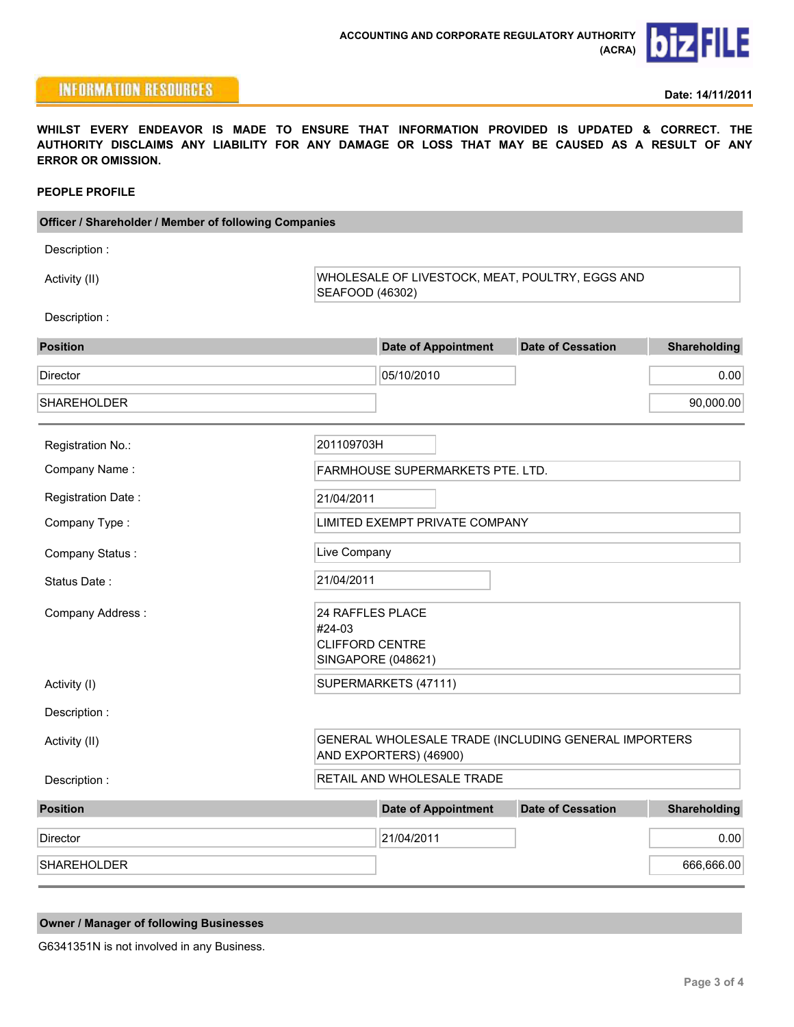# **biz FILE**

## **INFORMATION RESOURCES**

**Date: 14/11/2011**

**WHILST EVERY ENDEAVOR IS MADE TO ENSURE THAT INFORMATION PROVIDED IS UPDATED & CORRECT. THE AUTHORITY DISCLAIMS ANY LIABILITY FOR ANY DAMAGE OR LOSS THAT MAY BE CAUSED AS A RESULT OF ANY ERROR OR OMISSION.**

### **PEOPLE PROFILE**

| Officer / Shareholder / Member of following Companies |            |                                                                                |                          |                     |  |  |
|-------------------------------------------------------|------------|--------------------------------------------------------------------------------|--------------------------|---------------------|--|--|
| Description:                                          |            |                                                                                |                          |                     |  |  |
| Activity (II)                                         |            | WHOLESALE OF LIVESTOCK, MEAT, POULTRY, EGGS AND<br>SEAFOOD (46302)             |                          |                     |  |  |
| Description:                                          |            |                                                                                |                          |                     |  |  |
| <b>Position</b>                                       |            | <b>Date of Appointment</b>                                                     | <b>Date of Cessation</b> | Shareholding        |  |  |
| Director                                              |            | 05/10/2010                                                                     |                          | 0.00                |  |  |
| <b>SHAREHOLDER</b>                                    |            |                                                                                |                          | 90,000.00           |  |  |
| Registration No.:                                     | 201109703H |                                                                                |                          |                     |  |  |
| Company Name:                                         |            | FARMHOUSE SUPERMARKETS PTE. LTD.                                               |                          |                     |  |  |
| Registration Date:                                    |            | 21/04/2011                                                                     |                          |                     |  |  |
| Company Type:                                         |            | LIMITED EXEMPT PRIVATE COMPANY                                                 |                          |                     |  |  |
| Company Status:                                       |            | Live Company                                                                   |                          |                     |  |  |
| Status Date:                                          |            | 21/04/2011                                                                     |                          |                     |  |  |
| Company Address:                                      | #24-03     | 24 RAFFLES PLACE<br><b>CLIFFORD CENTRE</b><br>SINGAPORE (048621)               |                          |                     |  |  |
| Activity (I)                                          |            | SUPERMARKETS (47111)                                                           |                          |                     |  |  |
| Description:                                          |            |                                                                                |                          |                     |  |  |
| Activity (II)                                         |            | GENERAL WHOLESALE TRADE (INCLUDING GENERAL IMPORTERS<br>AND EXPORTERS) (46900) |                          |                     |  |  |
| Description:                                          |            | RETAIL AND WHOLESALE TRADE                                                     |                          |                     |  |  |
| <b>Position</b>                                       |            | <b>Date of Appointment</b>                                                     | <b>Date of Cessation</b> | <b>Shareholding</b> |  |  |
| Director                                              |            | 21/04/2011                                                                     |                          | 0.00                |  |  |
| <b>SHAREHOLDER</b>                                    |            |                                                                                |                          | 666,666.00          |  |  |
|                                                       |            |                                                                                |                          |                     |  |  |

|  |  |  |  | <b>Owner / Manager of following Businesses</b> |
|--|--|--|--|------------------------------------------------|
|--|--|--|--|------------------------------------------------|

G6341351N is not involved in any Business.